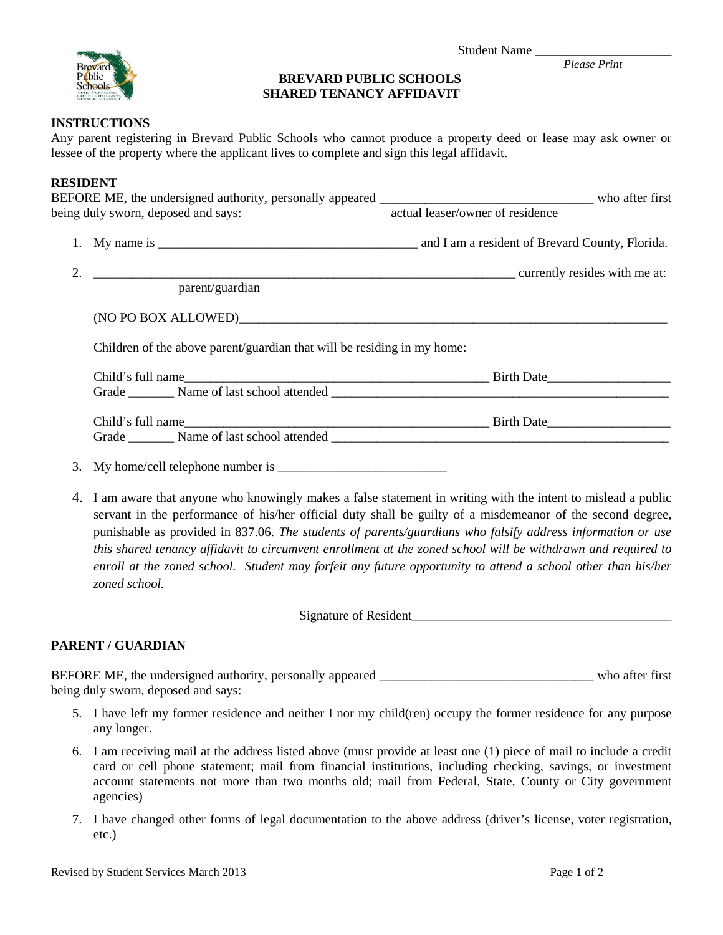

*Please Print Please Print* 

# **BREVARD PUBLIC SCHOOLS SHARED TENANCY AFFIDAVIT**

### **INSTRUCTIONS**

Any parent registering in Brevard Public Schools who cannot produce a property deed or lease may ask owner or lessee of the property where the applicant lives to complete and sign this legal affidavit.

# **RESIDENT**

| being duly sworn, deposed and says:                                     | actual leaser/owner of residence                                                                                       |
|-------------------------------------------------------------------------|------------------------------------------------------------------------------------------------------------------------|
|                                                                         |                                                                                                                        |
|                                                                         |                                                                                                                        |
| parent/guardian                                                         |                                                                                                                        |
|                                                                         |                                                                                                                        |
| Children of the above parent/guardian that will be residing in my home: |                                                                                                                        |
|                                                                         |                                                                                                                        |
|                                                                         |                                                                                                                        |
|                                                                         |                                                                                                                        |
|                                                                         |                                                                                                                        |
|                                                                         |                                                                                                                        |
|                                                                         | $\Lambda$ . Lom event that envano who knowingly makes a folge statement in whiting with the intent to micload e-multig |

4. I am aware that anyone who knowingly makes a false statement in writing with the intent to mislead a public servant in the performance of his/her official duty shall be guilty of a misdemeanor of the second degree, punishable as provided in 837.06. *The students of parents/guardians who falsify address information or use this shared tenancy affidavit to circumvent enrollment at the zoned school will be withdrawn and required to enroll at the zoned school. Student may forfeit any future opportunity to attend a school other than his/her zoned school.*

Signature of Resident

# **PARENT / GUARDIAN**

BEFORE ME, the undersigned authority, personally appeared \_\_\_\_\_\_\_\_\_\_\_\_\_\_\_\_\_\_\_\_\_\_\_\_\_\_\_\_\_\_\_\_\_ who after first being duly sworn, deposed and says:

- 5. I have left my former residence and neither I nor my child(ren) occupy the former residence for any purpose any longer.
- 6. I am receiving mail at the address listed above (must provide at least one (1) piece of mail to include a credit card or cell phone statement; mail from financial institutions, including checking, savings, or investment account statements not more than two months old; mail from Federal, State, County or City government agencies)
- 7. I have changed other forms of legal documentation to the above address (driver's license, voter registration, etc.)